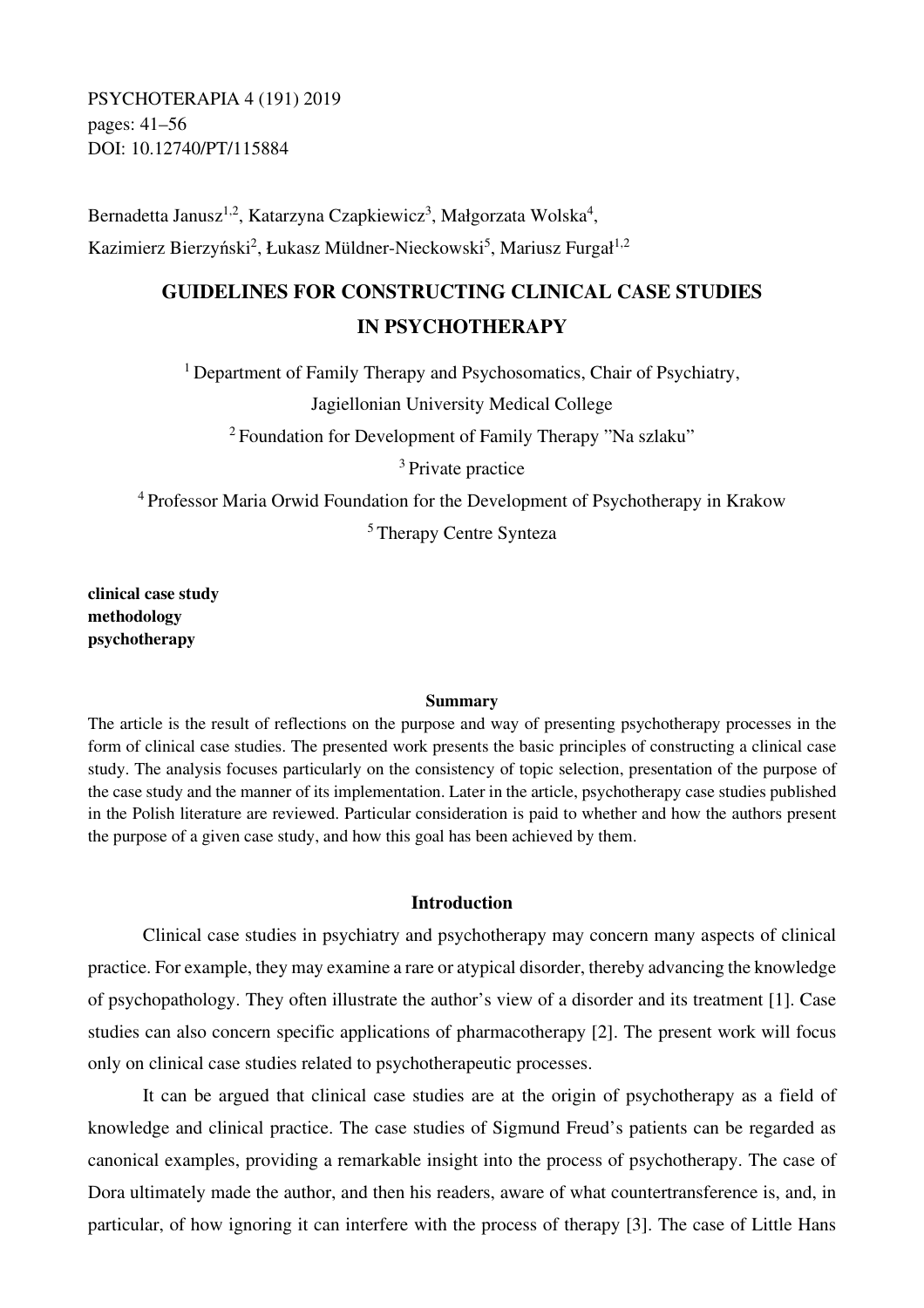PSYCHOTERAPIA 4 (191) 2019 pages: 41–56 DOI: 10.12740/PT/115884

Bernadetta Janusz<sup>1,2</sup>, Katarzyna Czapkiewicz<sup>3</sup>, Małgorzata Wolska<sup>4</sup>, Kazimierz Bierzyński<sup>2</sup>, Łukasz Müldner-Nieckowski<sup>5</sup>, Mariusz Furgał<sup>1,2</sup>

# **GUIDELINES FOR CONSTRUCTING CLINICAL CASE STUDIES IN PSYCHOTHERAPY**

<sup>1</sup> Department of Family Therapy and Psychosomatics, Chair of Psychiatry,

Jagiellonian University Medical College

<sup>2</sup> Foundation for Development of Family Therapy "Na szlaku"

<sup>3</sup> Private practice

<sup>4</sup>Professor Maria Orwid Foundation for the Development of Psychotherapy in Krakow

<sup>5</sup>Therapy Centre Synteza

**clinical case study methodology psychotherapy** 

#### **Summary**

The article is the result of reflections on the purpose and way of presenting psychotherapy processes in the form of clinical case studies. The presented work presents the basic principles of constructing a clinical case study. The analysis focuses particularly on the consistency of topic selection, presentation of the purpose of the case study and the manner of its implementation. Later in the article, psychotherapy case studies published in the Polish literature are reviewed. Particular consideration is paid to whether and how the authors present the purpose of a given case study, and how this goal has been achieved by them.

### **Introduction**

Clinical case studies in psychiatry and psychotherapy may concern many aspects of clinical practice. For example, they may examine a rare or atypical disorder, thereby advancing the knowledge of psychopathology. They often illustrate the author's view of a disorder and its treatment [1]. Case studies can also concern specific applications of pharmacotherapy [2]. The present work will focus only on clinical case studies related to psychotherapeutic processes.

It can be argued that clinical case studies are at the origin of psychotherapy as a field of knowledge and clinical practice. The case studies of Sigmund Freud's patients can be regarded as canonical examples, providing a remarkable insight into the process of psychotherapy. The case of Dora ultimately made the author, and then his readers, aware of what countertransference is, and, in particular, of how ignoring it can interfere with the process of therapy [3]. The case of Little Hans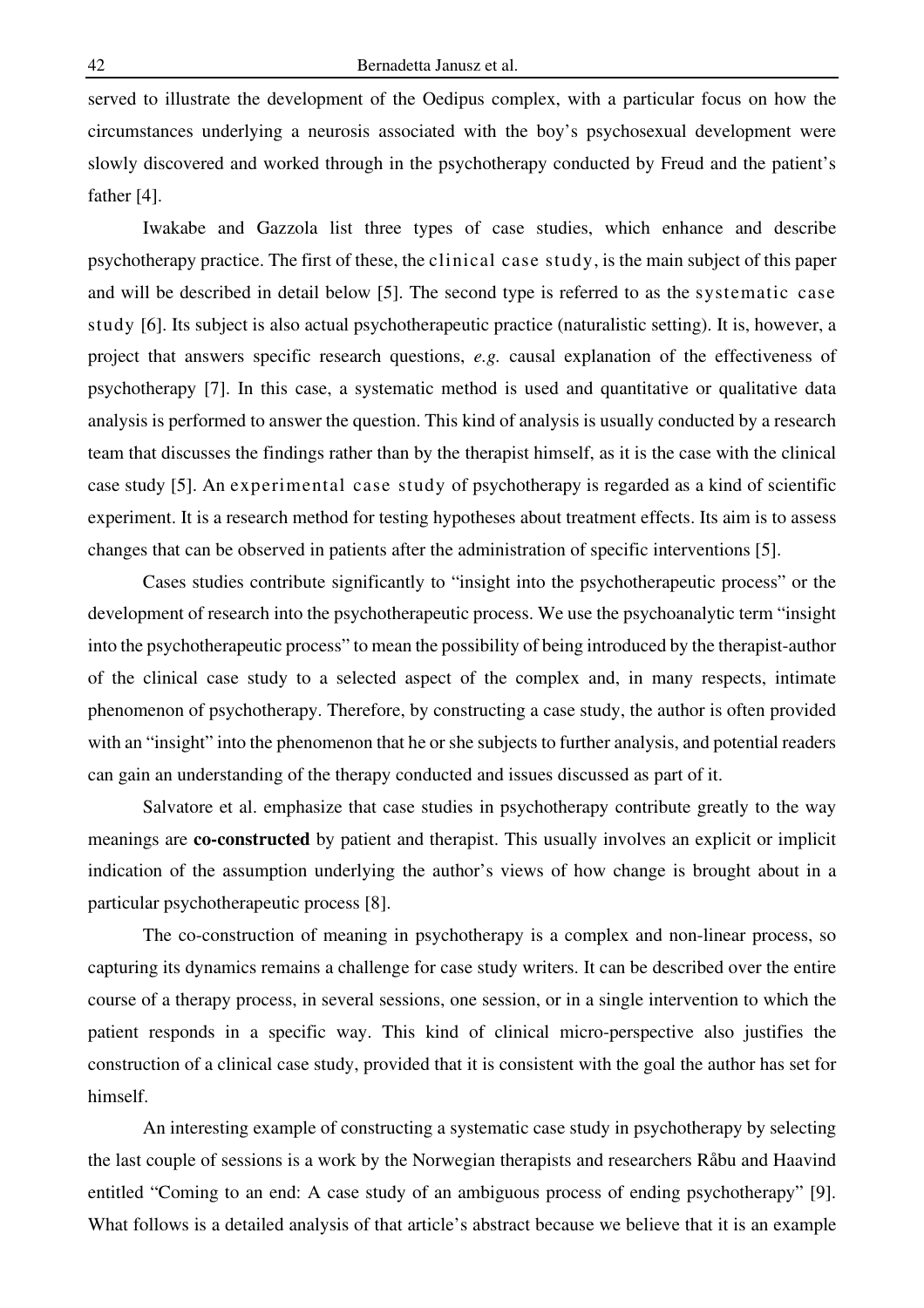served to illustrate the development of the Oedipus complex, with a particular focus on how the circumstances underlying a neurosis associated with the boy's psychosexual development were slowly discovered and worked through in the psychotherapy conducted by Freud and the patient's father [4].

Iwakabe and Gazzola list three types of case studies, which enhance and describe psychotherapy practice. The first of these, the clinical case study, is the main subject of this paper and will be described in detail below [5]. The second type is referred to as the systematic case study [6]. Its subject is also actual psychotherapeutic practice (naturalistic setting). It is, however, a project that answers specific research questions, *e.g.* causal explanation of the effectiveness of psychotherapy [7]. In this case, a systematic method is used and quantitative or qualitative data analysis is performed to answer the question. This kind of analysis is usually conducted by a research team that discusses the findings rather than by the therapist himself, as it is the case with the clinical case study [5]. An experimental case study of psychotherapy is regarded as a kind of scientific experiment. It is a research method for testing hypotheses about treatment effects. Its aim is to assess changes that can be observed in patients after the administration of specific interventions [5].

Cases studies contribute significantly to "insight into the psychotherapeutic process" or the development of research into the psychotherapeutic process. We use the psychoanalytic term "insight into the psychotherapeutic process" to mean the possibility of being introduced by the therapist-author of the clinical case study to a selected aspect of the complex and, in many respects, intimate phenomenon of psychotherapy. Therefore, by constructing a case study, the author is often provided with an "insight" into the phenomenon that he or she subjects to further analysis, and potential readers can gain an understanding of the therapy conducted and issues discussed as part of it.

Salvatore et al. emphasize that case studies in psychotherapy contribute greatly to the way meanings are **co-constructed** by patient and therapist. This usually involves an explicit or implicit indication of the assumption underlying the author's views of how change is brought about in a particular psychotherapeutic process [8].

The co-construction of meaning in psychotherapy is a complex and non-linear process, so capturing its dynamics remains a challenge for case study writers. It can be described over the entire course of a therapy process, in several sessions, one session, or in a single intervention to which the patient responds in a specific way. This kind of clinical micro-perspective also justifies the construction of a clinical case study, provided that it is consistent with the goal the author has set for himself.

An interesting example of constructing a systematic case study in psychotherapy by selecting the last couple of sessions is a work by the Norwegian therapists and researchers Råbu and Haavind entitled "Coming to an end: A case study of an ambiguous process of ending psychotherapy" [9]. What follows is a detailed analysis of that article's abstract because we believe that it is an example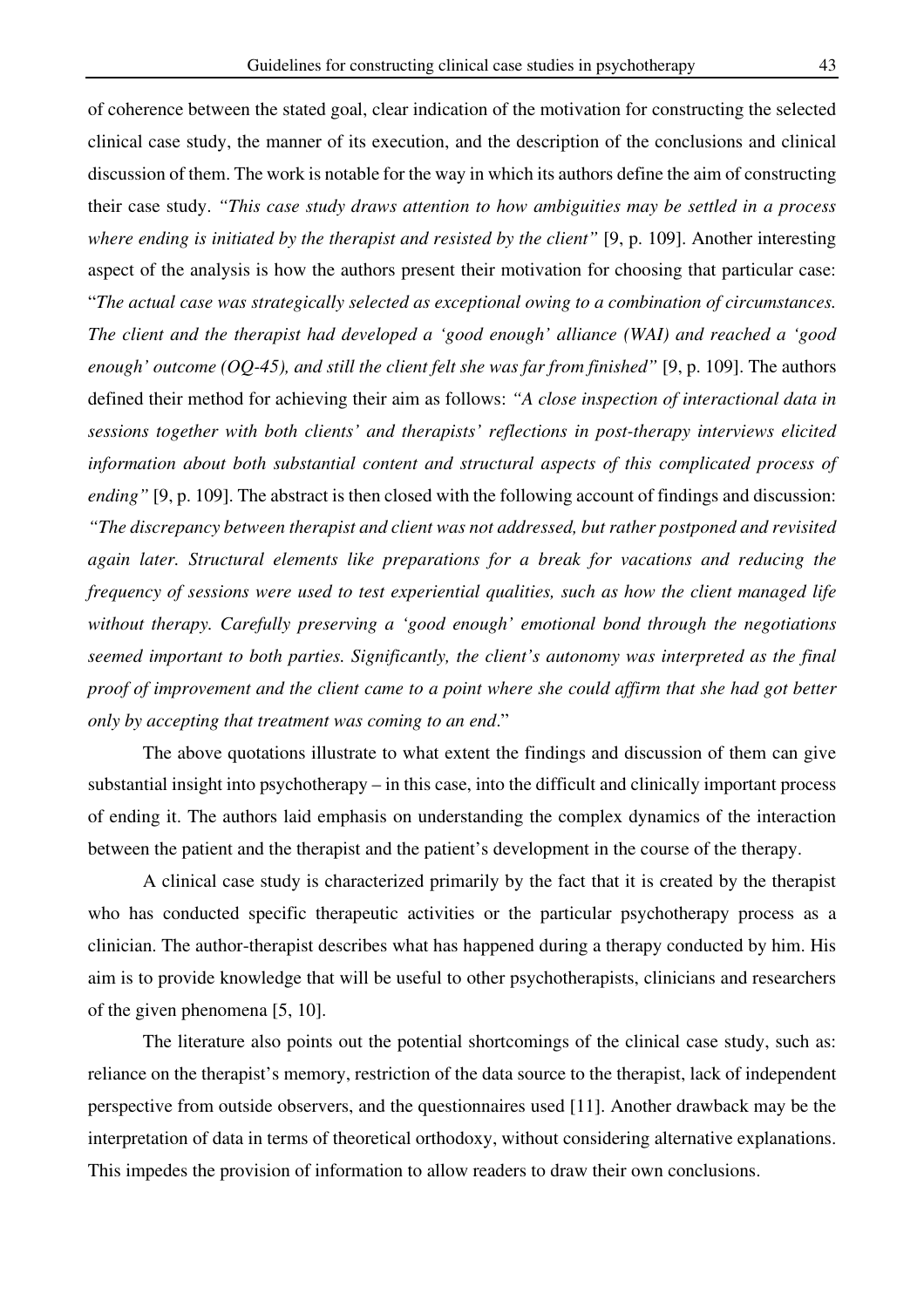of coherence between the stated goal, clear indication of the motivation for constructing the selected clinical case study, the manner of its execution, and the description of the conclusions and clinical discussion of them. The work is notable for the way in which its authors define the aim of constructing their case study. *"This case study draws attention to how ambiguities may be settled in a process where ending is initiated by the therapist and resisted by the client"* [9, p. 109]. Another interesting aspect of the analysis is how the authors present their motivation for choosing that particular case: "*The actual case was strategically selected as exceptional owing to a combination of circumstances. The client and the therapist had developed a 'good enough' alliance (WAI) and reached a 'good enough' outcome (OQ-45), and still the client felt she was far from finished"* [9, p. 109]. The authors defined their method for achieving their aim as follows: *"A close inspection of interactional data in sessions together with both clients' and therapists' reflections in post-therapy interviews elicited information about both substantial content and structural aspects of this complicated process of ending*" [9, p. 109]. The abstract is then closed with the following account of findings and discussion: *"The discrepancy between therapist and client was not addressed, but rather postponed and revisited again later. Structural elements like preparations for a break for vacations and reducing the frequency of sessions were used to test experiential qualities, such as how the client managed life without therapy. Carefully preserving a 'good enough' emotional bond through the negotiations seemed important to both parties. Significantly, the client's autonomy was interpreted as the final proof of improvement and the client came to a point where she could affirm that she had got better only by accepting that treatment was coming to an end*."

The above quotations illustrate to what extent the findings and discussion of them can give substantial insight into psychotherapy – in this case, into the difficult and clinically important process of ending it. The authors laid emphasis on understanding the complex dynamics of the interaction between the patient and the therapist and the patient's development in the course of the therapy.

A clinical case study is characterized primarily by the fact that it is created by the therapist who has conducted specific therapeutic activities or the particular psychotherapy process as a clinician. The author-therapist describes what has happened during a therapy conducted by him. His aim is to provide knowledge that will be useful to other psychotherapists, clinicians and researchers of the given phenomena [5, 10].

The literature also points out the potential shortcomings of the clinical case study, such as: reliance on the therapist's memory, restriction of the data source to the therapist, lack of independent perspective from outside observers, and the questionnaires used [11]. Another drawback may be the interpretation of data in terms of theoretical orthodoxy, without considering alternative explanations. This impedes the provision of information to allow readers to draw their own conclusions.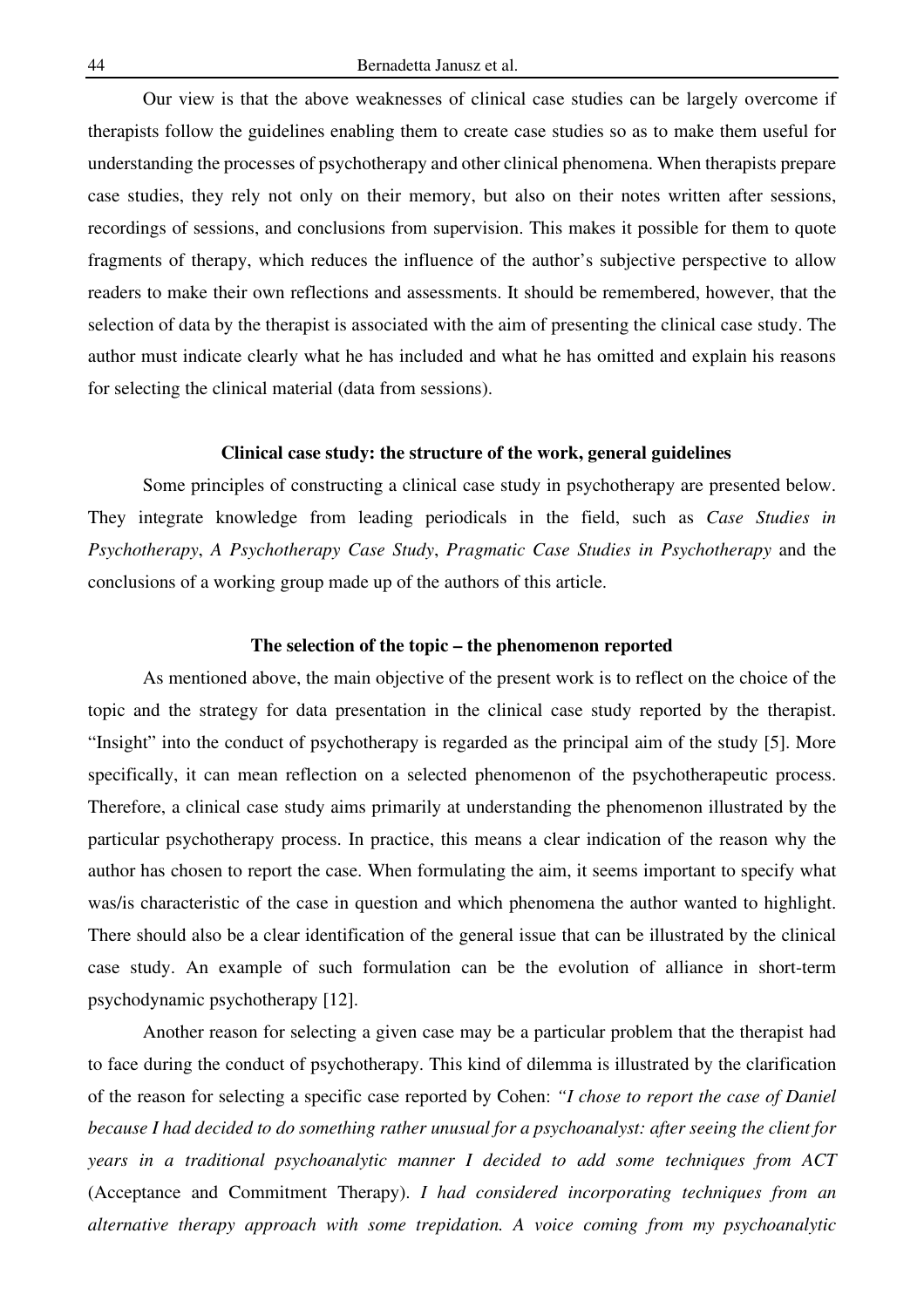Our view is that the above weaknesses of clinical case studies can be largely overcome if therapists follow the guidelines enabling them to create case studies so as to make them useful for understanding the processes of psychotherapy and other clinical phenomena. When therapists prepare case studies, they rely not only on their memory, but also on their notes written after sessions, recordings of sessions, and conclusions from supervision. This makes it possible for them to quote fragments of therapy, which reduces the influence of the author's subjective perspective to allow readers to make their own reflections and assessments. It should be remembered, however, that the selection of data by the therapist is associated with the aim of presenting the clinical case study. The author must indicate clearly what he has included and what he has omitted and explain his reasons for selecting the clinical material (data from sessions).

### **Clinical case study: the structure of the work, general guidelines**

Some principles of constructing a clinical case study in psychotherapy are presented below. They integrate knowledge from leading periodicals in the field, such as *Case Studies in Psychotherapy*, *A Psychotherapy Case Study*, *Pragmatic Case Studies in Psychotherapy* and the conclusions of a working group made up of the authors of this article.

### **The selection of the topic – the phenomenon reported**

As mentioned above, the main objective of the present work is to reflect on the choice of the topic and the strategy for data presentation in the clinical case study reported by the therapist. "Insight" into the conduct of psychotherapy is regarded as the principal aim of the study [5]. More specifically, it can mean reflection on a selected phenomenon of the psychotherapeutic process. Therefore, a clinical case study aims primarily at understanding the phenomenon illustrated by the particular psychotherapy process. In practice, this means a clear indication of the reason why the author has chosen to report the case. When formulating the aim, it seems important to specify what was/is characteristic of the case in question and which phenomena the author wanted to highlight. There should also be a clear identification of the general issue that can be illustrated by the clinical case study. An example of such formulation can be the evolution of alliance in short-term psychodynamic psychotherapy [12].

Another reason for selecting a given case may be a particular problem that the therapist had to face during the conduct of psychotherapy. This kind of dilemma is illustrated by the clarification of the reason for selecting a specific case reported by Cohen: *"I chose to report the case of Daniel because I had decided to do something rather unusual for a psychoanalyst: after seeing the client for years in a traditional psychoanalytic manner I decided to add some techniques from ACT*  (Acceptance and Commitment Therapy). *I had considered incorporating techniques from an alternative therapy approach with some trepidation. A voice coming from my psychoanalytic*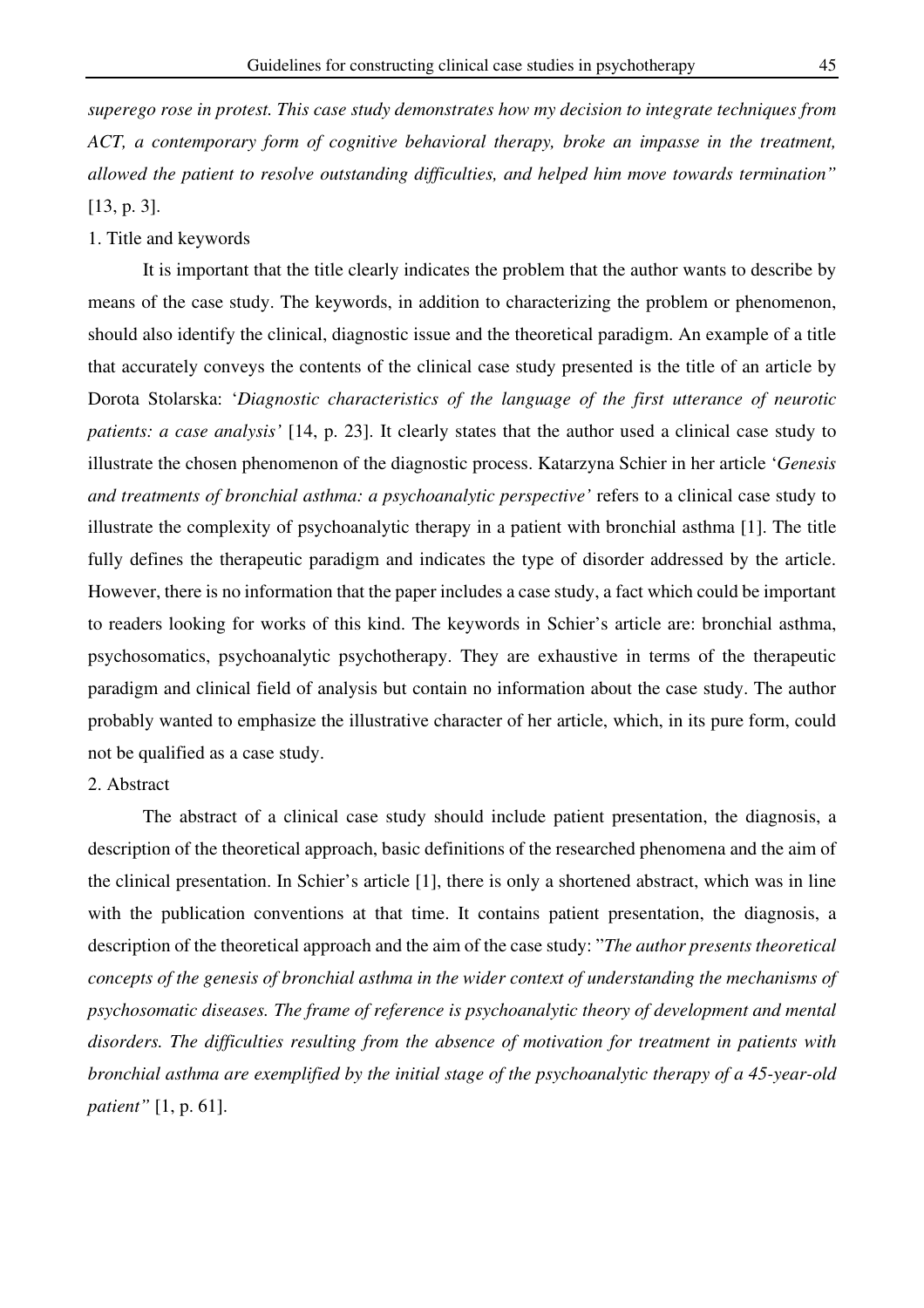*superego rose in protest. This case study demonstrates how my decision to integrate techniques from ACT, a contemporary form of cognitive behavioral therapy, broke an impasse in the treatment, allowed the patient to resolve outstanding difficulties, and helped him move towards termination"*  [13, p. 3].

### 1. Title and keywords

It is important that the title clearly indicates the problem that the author wants to describe by means of the case study. The keywords, in addition to characterizing the problem or phenomenon, should also identify the clinical, diagnostic issue and the theoretical paradigm. An example of a title that accurately conveys the contents of the clinical case study presented is the title of an article by Dorota Stolarska: '*Diagnostic characteristics of the language of the first utterance of neurotic patients: a case analysis'* [14, p. 23]. It clearly states that the author used a clinical case study to illustrate the chosen phenomenon of the diagnostic process. Katarzyna Schier in her article '*Genesis and treatments of bronchial asthma: a psychoanalytic perspective'* refers to a clinical case study to illustrate the complexity of psychoanalytic therapy in a patient with bronchial asthma [1]. The title fully defines the therapeutic paradigm and indicates the type of disorder addressed by the article. However, there is no information that the paper includes a case study, a fact which could be important to readers looking for works of this kind. The keywords in Schier's article are: bronchial asthma, psychosomatics, psychoanalytic psychotherapy. They are exhaustive in terms of the therapeutic paradigm and clinical field of analysis but contain no information about the case study. The author probably wanted to emphasize the illustrative character of her article, which, in its pure form, could not be qualified as a case study.

# 2. Abstract

The abstract of a clinical case study should include patient presentation, the diagnosis, a description of the theoretical approach, basic definitions of the researched phenomena and the aim of the clinical presentation. In Schier's article [1], there is only a shortened abstract, which was in line with the publication conventions at that time. It contains patient presentation, the diagnosis, a description of the theoretical approach and the aim of the case study: "*The author presents theoretical concepts of the genesis of bronchial asthma in the wider context of understanding the mechanisms of psychosomatic diseases. The frame of reference is psychoanalytic theory of development and mental disorders. The difficulties resulting from the absence of motivation for treatment in patients with bronchial asthma are exemplified by the initial stage of the psychoanalytic therapy of a 45-year-old patient"* [1, p. 61].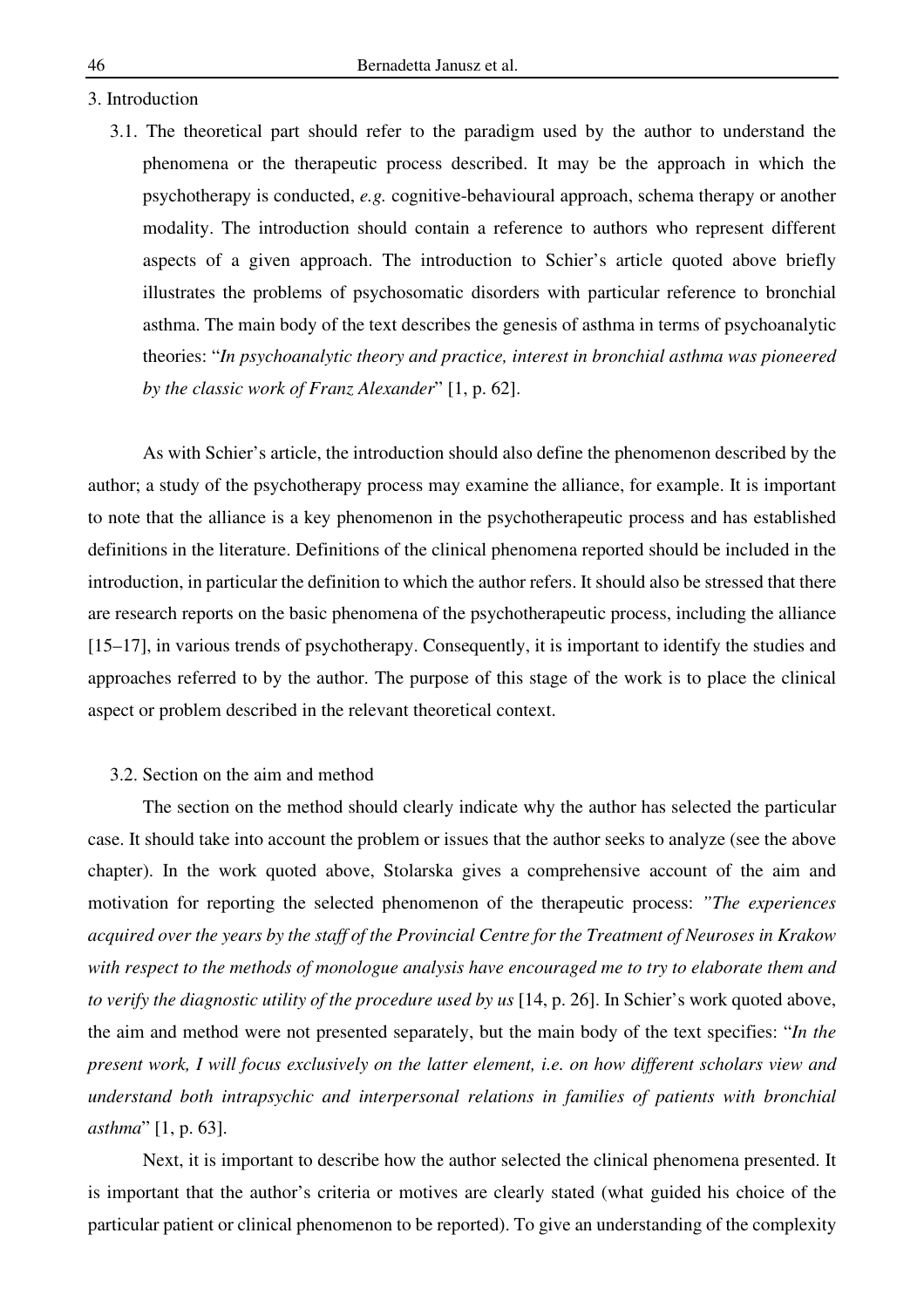- 3. Introduction
	- 3.1. The theoretical part should refer to the paradigm used by the author to understand the phenomena or the therapeutic process described. It may be the approach in which the psychotherapy is conducted, *e.g.* cognitive-behavioural approach, schema therapy or another modality. The introduction should contain a reference to authors who represent different aspects of a given approach. The introduction to Schier's article quoted above briefly illustrates the problems of psychosomatic disorders with particular reference to bronchial asthma. The main body of the text describes the genesis of asthma in terms of psychoanalytic theories: "*In psychoanalytic theory and practice, interest in bronchial asthma was pioneered by the classic work of Franz Alexander*" [1, p. 62].

As with Schier's article, the introduction should also define the phenomenon described by the author; a study of the psychotherapy process may examine the alliance, for example. It is important to note that the alliance is a key phenomenon in the psychotherapeutic process and has established definitions in the literature. Definitions of the clinical phenomena reported should be included in the introduction, in particular the definition to which the author refers. It should also be stressed that there are research reports on the basic phenomena of the psychotherapeutic process, including the alliance [15–17], in various trends of psychotherapy. Consequently, it is important to identify the studies and approaches referred to by the author. The purpose of this stage of the work is to place the clinical aspect or problem described in the relevant theoretical context.

# 3.2. Section on the aim and method

The section on the method should clearly indicate why the author has selected the particular case. It should take into account the problem or issues that the author seeks to analyze (see the above chapter). In the work quoted above, Stolarska gives a comprehensive account of the aim and motivation for reporting the selected phenomenon of the therapeutic process: *"The experiences acquired over the years by the staff of the Provincial Centre for the Treatment of Neuroses in Krakow with respect to the methods of monologue analysis have encouraged me to try to elaborate them and to verify the diagnostic utility of the procedure used by us* [14, p. 26]. In Schier's work quoted above, the aim and method were not presented separately, but the main body of the text specifies: "*In the present work, I will focus exclusively on the latter element, i.e. on how different scholars view and understand both intrapsychic and interpersonal relations in families of patients with bronchial asthma*" [1, p. 63].

Next, it is important to describe how the author selected the clinical phenomena presented. It is important that the author's criteria or motives are clearly stated (what guided his choice of the particular patient or clinical phenomenon to be reported). To give an understanding of the complexity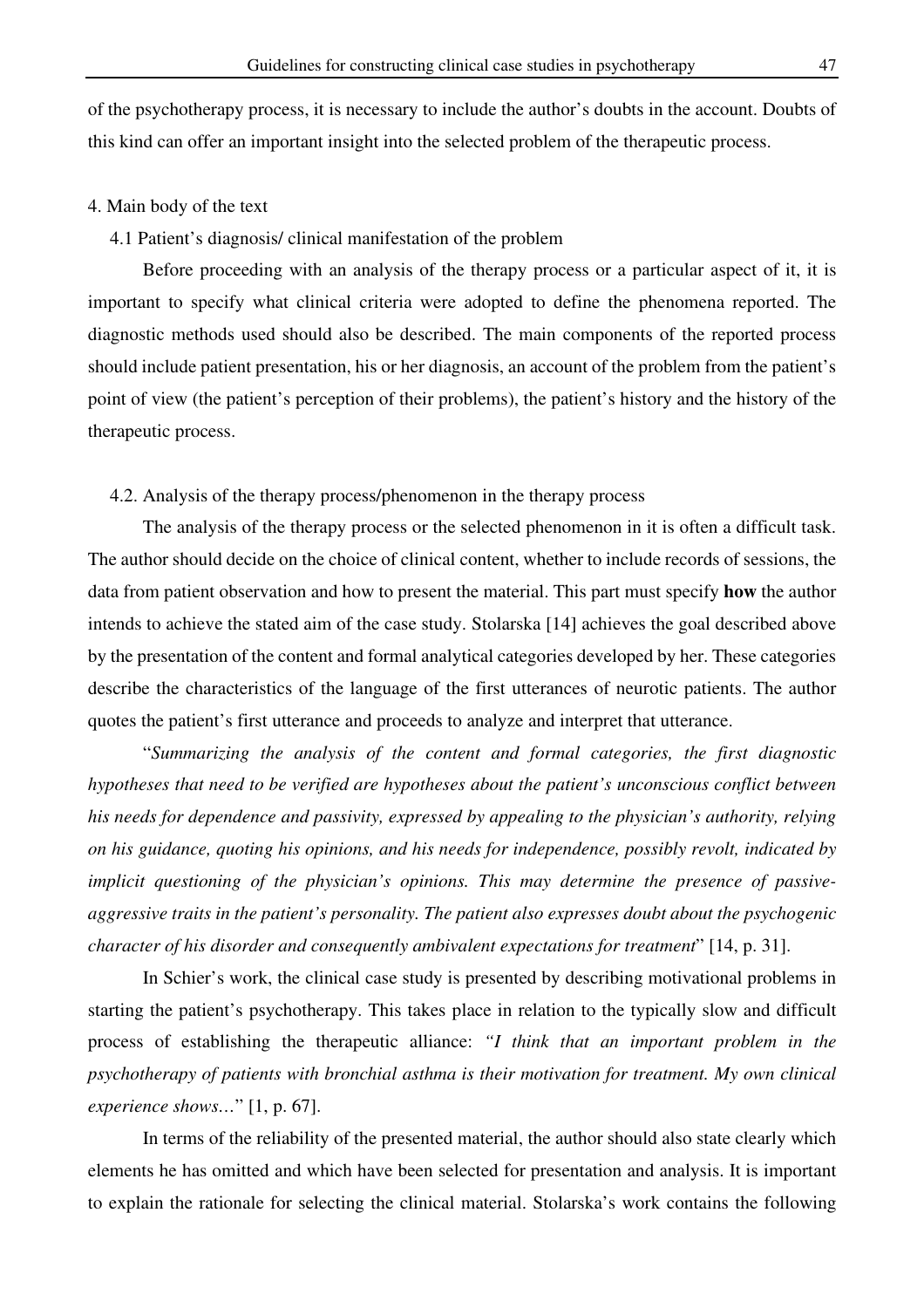of the psychotherapy process, it is necessary to include the author's doubts in the account. Doubts of this kind can offer an important insight into the selected problem of the therapeutic process.

### 4. Main body of the text

# 4.1 Patient's diagnosis/ clinical manifestation of the problem

Before proceeding with an analysis of the therapy process or a particular aspect of it, it is important to specify what clinical criteria were adopted to define the phenomena reported. The diagnostic methods used should also be described. The main components of the reported process should include patient presentation, his or her diagnosis, an account of the problem from the patient's point of view (the patient's perception of their problems), the patient's history and the history of the therapeutic process.

# 4.2. Analysis of the therapy process/phenomenon in the therapy process

The analysis of the therapy process or the selected phenomenon in it is often a difficult task. The author should decide on the choice of clinical content, whether to include records of sessions, the data from patient observation and how to present the material. This part must specify **how** the author intends to achieve the stated aim of the case study. Stolarska [14] achieves the goal described above by the presentation of the content and formal analytical categories developed by her. These categories describe the characteristics of the language of the first utterances of neurotic patients. The author quotes the patient's first utterance and proceeds to analyze and interpret that utterance.

"*Summarizing the analysis of the content and formal categories, the first diagnostic hypotheses that need to be verified are hypotheses about the patient's unconscious conflict between his needs for dependence and passivity, expressed by appealing to the physician's authority, relying on his guidance, quoting his opinions, and his needs for independence, possibly revolt, indicated by implicit questioning of the physician's opinions. This may determine the presence of passiveaggressive traits in the patient's personality. The patient also expresses doubt about the psychogenic character of his disorder and consequently ambivalent expectations for treatment*" [14, p. 31].

In Schier's work, the clinical case study is presented by describing motivational problems in starting the patient's psychotherapy. This takes place in relation to the typically slow and difficult process of establishing the therapeutic alliance: *"I think that an important problem in the psychotherapy of patients with bronchial asthma is their motivation for treatment. My own clinical experience shows…*" [1, p. 67].

In terms of the reliability of the presented material, the author should also state clearly which elements he has omitted and which have been selected for presentation and analysis. It is important to explain the rationale for selecting the clinical material. Stolarska's work contains the following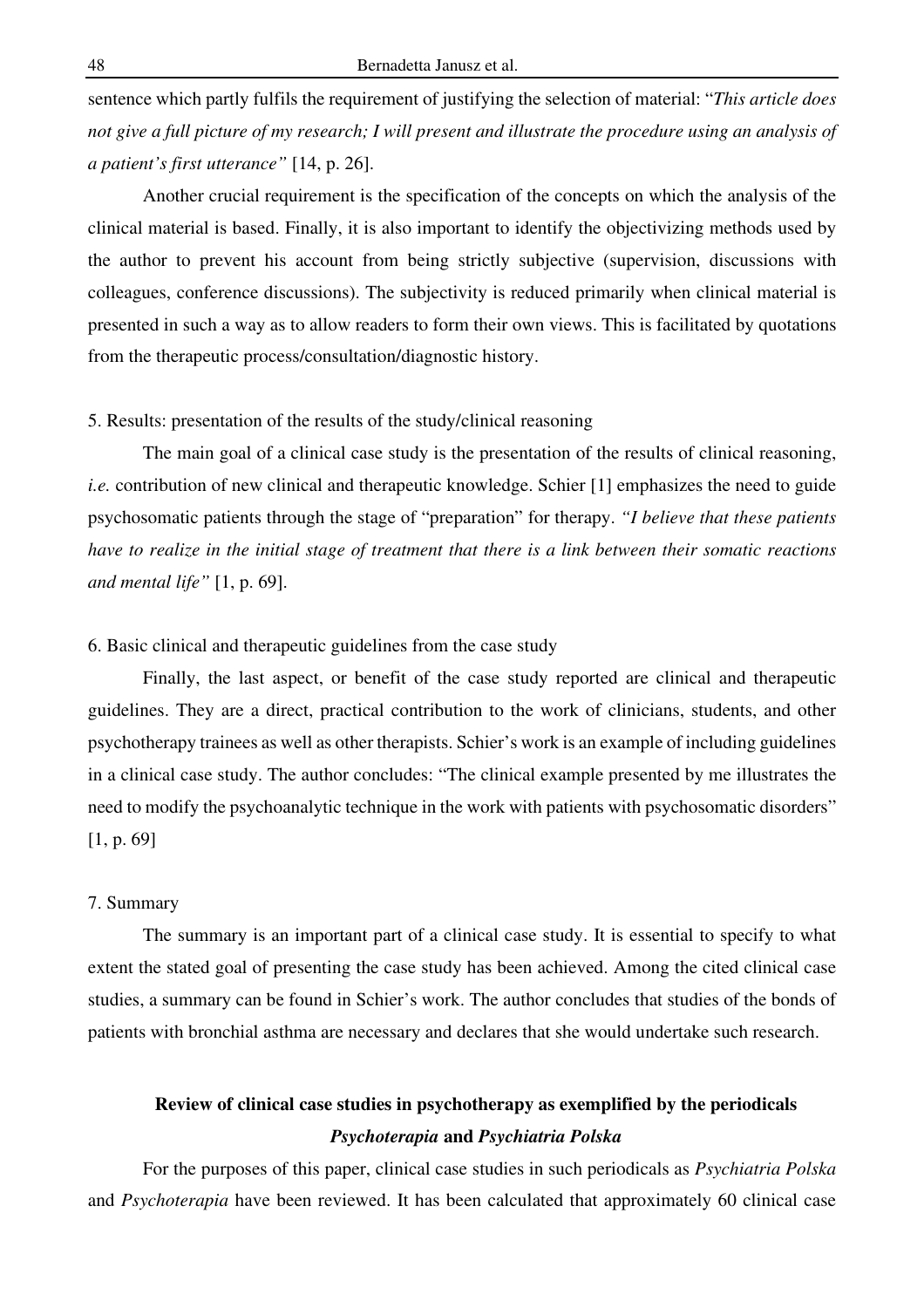sentence which partly fulfils the requirement of justifying the selection of material: "*This article does not give a full picture of my research; I will present and illustrate the procedure using an analysis of a patient's first utterance"* [14, p. 26].

Another crucial requirement is the specification of the concepts on which the analysis of the clinical material is based. Finally, it is also important to identify the objectivizing methods used by the author to prevent his account from being strictly subjective (supervision, discussions with colleagues, conference discussions). The subjectivity is reduced primarily when clinical material is presented in such a way as to allow readers to form their own views. This is facilitated by quotations from the therapeutic process/consultation/diagnostic history.

# 5. Results: presentation of the results of the study/clinical reasoning

The main goal of a clinical case study is the presentation of the results of clinical reasoning, *i.e.* contribution of new clinical and therapeutic knowledge. Schier [1] emphasizes the need to guide psychosomatic patients through the stage of "preparation" for therapy. *"I believe that these patients have to realize in the initial stage of treatment that there is a link between their somatic reactions and mental life"* [1, p. 69].

# 6. Basic clinical and therapeutic guidelines from the case study

Finally, the last aspect, or benefit of the case study reported are clinical and therapeutic guidelines. They are a direct, practical contribution to the work of clinicians, students, and other psychotherapy trainees as well as other therapists. Schier's work is an example of including guidelines in a clinical case study. The author concludes: "The clinical example presented by me illustrates the need to modify the psychoanalytic technique in the work with patients with psychosomatic disorders" [1, p. 69]

### 7. Summary

The summary is an important part of a clinical case study. It is essential to specify to what extent the stated goal of presenting the case study has been achieved. Among the cited clinical case studies, a summary can be found in Schier's work. The author concludes that studies of the bonds of patients with bronchial asthma are necessary and declares that she would undertake such research.

# **Review of clinical case studies in psychotherapy as exemplified by the periodicals**  *Psychoterapia* **and** *Psychiatria Polska*

For the purposes of this paper, clinical case studies in such periodicals as *Psychiatria Polska* and *Psychoterapia* have been reviewed. It has been calculated that approximately 60 clinical case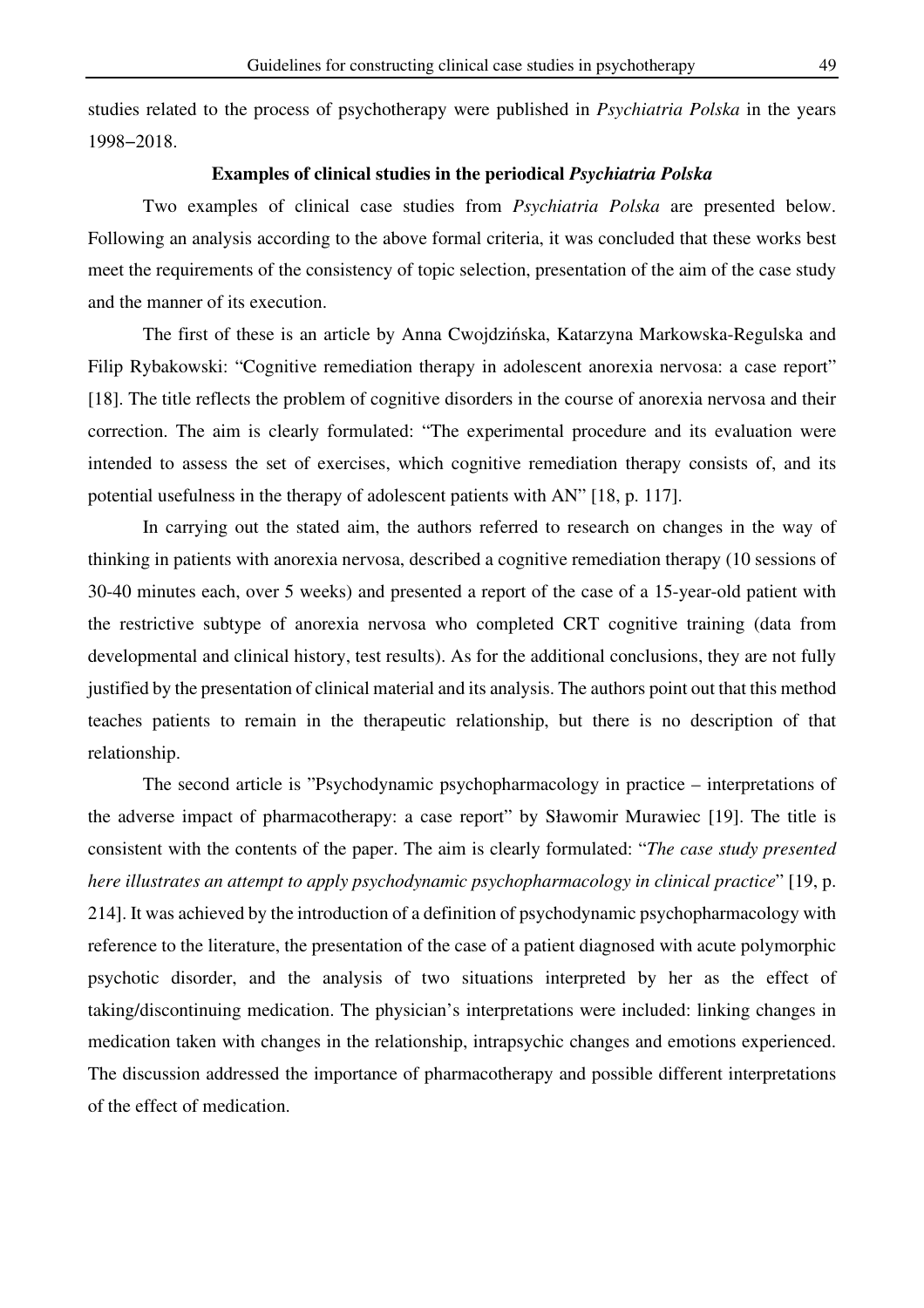studies related to the process of psychotherapy were published in *Psychiatria Polska* in the years 1998−2018.

## **Examples of clinical studies in the periodical** *Psychiatria Polska*

Two examples of clinical case studies from *Psychiatria Polska* are presented below. Following an analysis according to the above formal criteria, it was concluded that these works best meet the requirements of the consistency of topic selection, presentation of the aim of the case study and the manner of its execution.

The first of these is an article by Anna Cwojdzińska, Katarzyna Markowska-Regulska and Filip Rybakowski: "Cognitive remediation therapy in adolescent anorexia nervosa: a case report" [18]. The title reflects the problem of cognitive disorders in the course of anorexia nervosa and their correction. The aim is clearly formulated: "The experimental procedure and its evaluation were intended to assess the set of exercises, which cognitive remediation therapy consists of, and its potential usefulness in the therapy of adolescent patients with AN" [18, p. 117].

In carrying out the stated aim, the authors referred to research on changes in the way of thinking in patients with anorexia nervosa, described a cognitive remediation therapy (10 sessions of 30-40 minutes each, over 5 weeks) and presented a report of the case of a 15-year-old patient with the restrictive subtype of anorexia nervosa who completed CRT cognitive training (data from developmental and clinical history, test results). As for the additional conclusions, they are not fully justified by the presentation of clinical material and its analysis. The authors point out that this method teaches patients to remain in the therapeutic relationship, but there is no description of that relationship.

The second article is "Psychodynamic psychopharmacology in practice – interpretations of the adverse impact of pharmacotherapy: a case report" by Sławomir Murawiec [19]. The title is consistent with the contents of the paper. The aim is clearly formulated: "*The case study presented here illustrates an attempt to apply psychodynamic psychopharmacology in clinical practice*" [19, p. 214]. It was achieved by the introduction of a definition of psychodynamic psychopharmacology with reference to the literature, the presentation of the case of a patient diagnosed with acute polymorphic psychotic disorder, and the analysis of two situations interpreted by her as the effect of taking/discontinuing medication. The physician's interpretations were included: linking changes in medication taken with changes in the relationship, intrapsychic changes and emotions experienced. The discussion addressed the importance of pharmacotherapy and possible different interpretations of the effect of medication.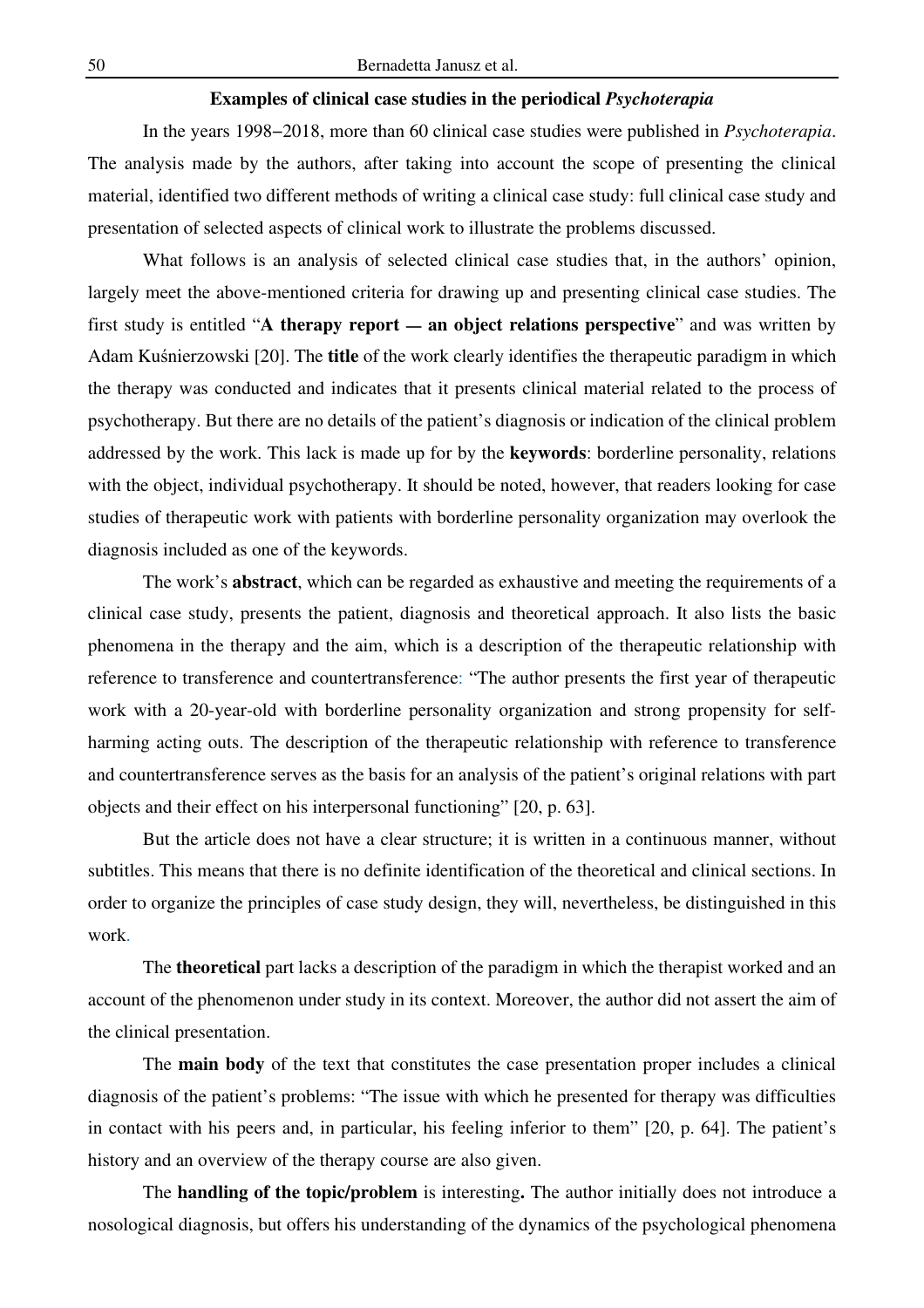# **Examples of clinical case studies in the periodical** *Psychoterapia*

In the years 1998−2018, more than 60 clinical case studies were published in *Psychoterapia*. The analysis made by the authors, after taking into account the scope of presenting the clinical material, identified two different methods of writing a clinical case study: full clinical case study and presentation of selected aspects of clinical work to illustrate the problems discussed.

What follows is an analysis of selected clinical case studies that, in the authors' opinion, largely meet the above-mentioned criteria for drawing up and presenting clinical case studies. The first study is entitled "A therapy report — an object relations perspective" and was written by Adam Kuśnierzowski [20]. The **title** of the work clearly identifies the therapeutic paradigm in which the therapy was conducted and indicates that it presents clinical material related to the process of psychotherapy. But there are no details of the patient's diagnosis or indication of the clinical problem addressed by the work. This lack is made up for by the **keywords**: borderline personality, relations with the object, individual psychotherapy. It should be noted, however, that readers looking for case studies of therapeutic work with patients with borderline personality organization may overlook the diagnosis included as one of the keywords.

The work's **abstract**, which can be regarded as exhaustive and meeting the requirements of a clinical case study, presents the patient, diagnosis and theoretical approach. It also lists the basic phenomena in the therapy and the aim, which is a description of the therapeutic relationship with reference to transference and countertransference: "The author presents the first year of therapeutic work with a 20-year-old with borderline personality organization and strong propensity for selfharming acting outs. The description of the therapeutic relationship with reference to transference and countertransference serves as the basis for an analysis of the patient's original relations with part objects and their effect on his interpersonal functioning" [20, p. 63].

But the article does not have a clear structure; it is written in a continuous manner, without subtitles. This means that there is no definite identification of the theoretical and clinical sections. In order to organize the principles of case study design, they will, nevertheless, be distinguished in this work.

The **theoretical** part lacks a description of the paradigm in which the therapist worked and an account of the phenomenon under study in its context. Moreover, the author did not assert the aim of the clinical presentation.

The **main body** of the text that constitutes the case presentation proper includes a clinical diagnosis of the patient's problems: "The issue with which he presented for therapy was difficulties in contact with his peers and, in particular, his feeling inferior to them" [20, p. 64]. The patient's history and an overview of the therapy course are also given.

The **handling of the topic/problem** is interesting**.** The author initially does not introduce a nosological diagnosis, but offers his understanding of the dynamics of the psychological phenomena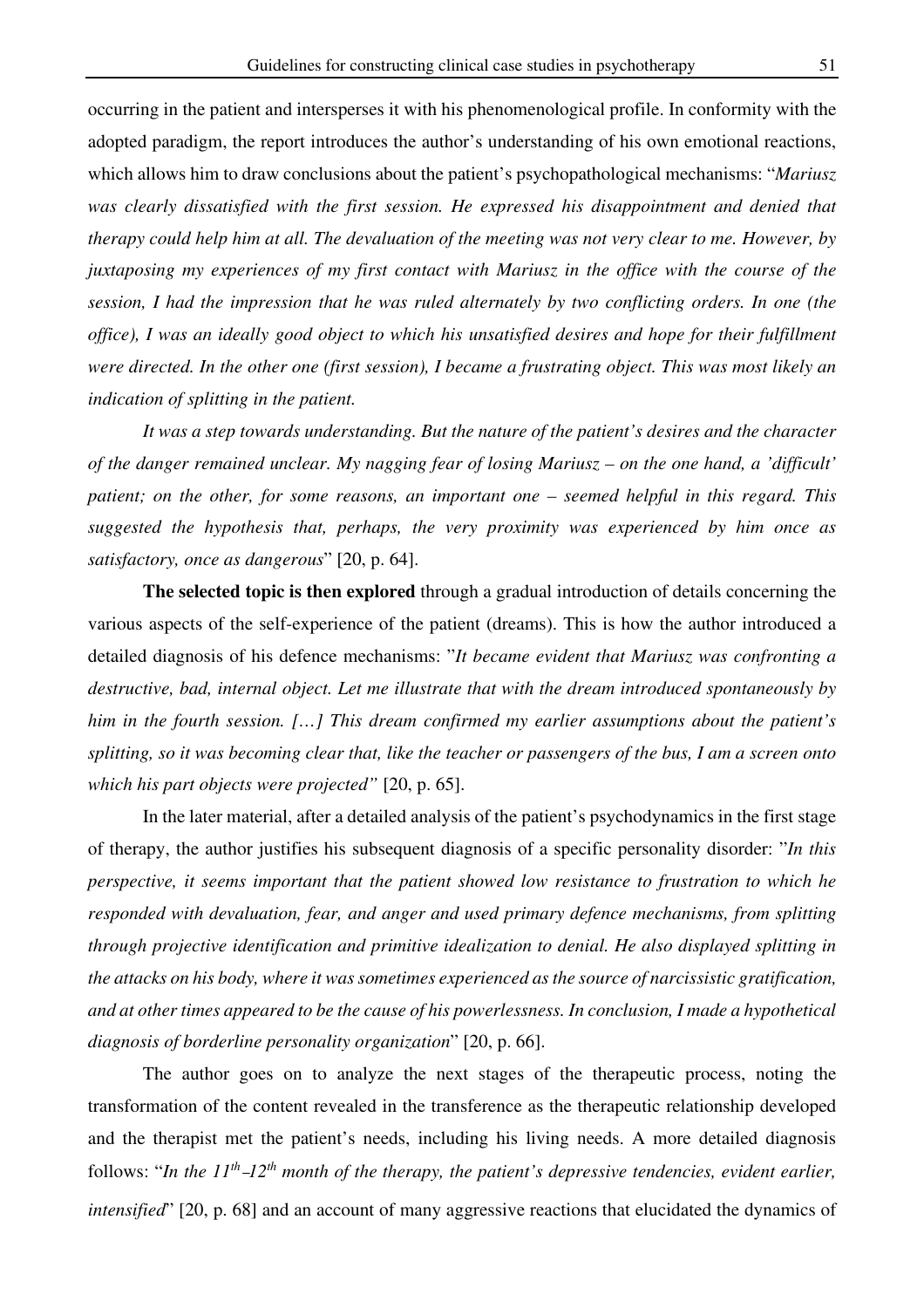occurring in the patient and intersperses it with his phenomenological profile. In conformity with the adopted paradigm, the report introduces the author's understanding of his own emotional reactions, which allows him to draw conclusions about the patient's psychopathological mechanisms: "*Mariusz was clearly dissatisfied with the first session. He expressed his disappointment and denied that therapy could help him at all. The devaluation of the meeting was not very clear to me. However, by juxtaposing my experiences of my first contact with Mariusz in the office with the course of the session, I had the impression that he was ruled alternately by two conflicting orders. In one (the office), I was an ideally good object to which his unsatisfied desires and hope for their fulfillment were directed. In the other one (first session), I became a frustrating object. This was most likely an indication of splitting in the patient.* 

*It was a step towards understanding. But the nature of the patient's desires and the character of the danger remained unclear. My nagging fear of losing Mariusz – on the one hand, a 'difficult' patient; on the other, for some reasons, an important one – seemed helpful in this regard. This suggested the hypothesis that, perhaps, the very proximity was experienced by him once as satisfactory, once as dangerous*" [20, p. 64].

**The selected topic is then explored** through a gradual introduction of details concerning the various aspects of the self-experience of the patient (dreams). This is how the author introduced a detailed diagnosis of his defence mechanisms: "*It became evident that Mariusz was confronting a destructive, bad, internal object. Let me illustrate that with the dream introduced spontaneously by him in the fourth session. […] This dream confirmed my earlier assumptions about the patient's splitting, so it was becoming clear that, like the teacher or passengers of the bus, I am a screen onto which his part objects were projected"* [20, p. 65].

In the later material, after a detailed analysis of the patient's psychodynamics in the first stage of therapy, the author justifies his subsequent diagnosis of a specific personality disorder: "*In this perspective, it seems important that the patient showed low resistance to frustration to which he responded with devaluation, fear, and anger and used primary defence mechanisms, from splitting through projective identification and primitive idealization to denial. He also displayed splitting in the attacks on his body, where it was sometimes experienced as the source of narcissistic gratification, and at other times appeared to be the cause of his powerlessness. In conclusion, I made a hypothetical diagnosis of borderline personality organization*" [20, p. 66].

The author goes on to analyze the next stages of the therapeutic process, noting the transformation of the content revealed in the transference as the therapeutic relationship developed and the therapist met the patient's needs, including his living needs. A more detailed diagnosis follows: "*In the 11th* –*12th month of the therapy, the patient's depressive tendencies, evident earlier, intensified*" [20, p. 68] and an account of many aggressive reactions that elucidated the dynamics of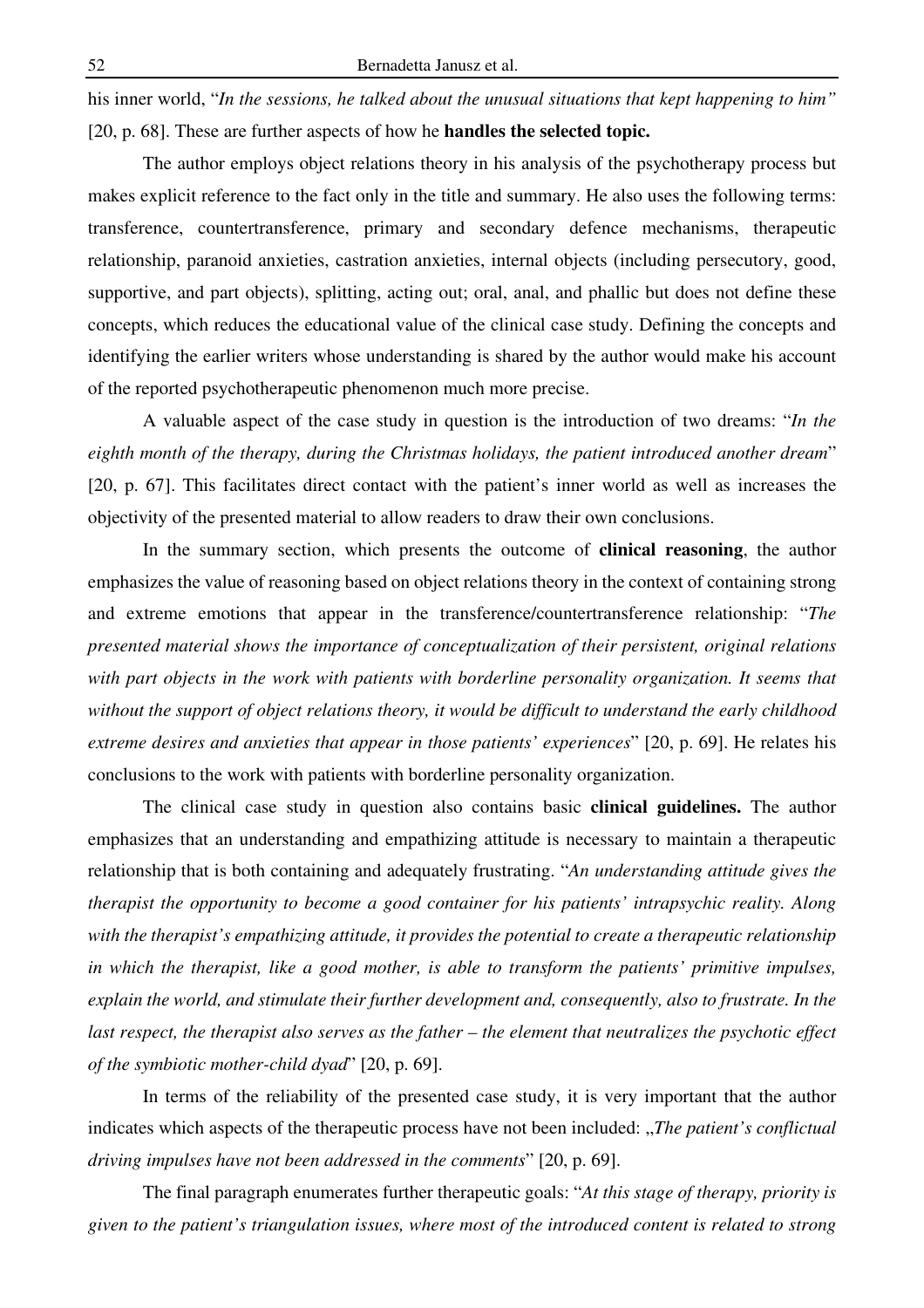his inner world, "*In the sessions, he talked about the unusual situations that kept happening to him"* [20, p. 68]. These are further aspects of how he **handles the selected topic.**

The author employs object relations theory in his analysis of the psychotherapy process but makes explicit reference to the fact only in the title and summary. He also uses the following terms: transference, countertransference, primary and secondary defence mechanisms, therapeutic relationship, paranoid anxieties, castration anxieties, internal objects (including persecutory, good, supportive, and part objects), splitting, acting out; oral, anal, and phallic but does not define these concepts, which reduces the educational value of the clinical case study. Defining the concepts and identifying the earlier writers whose understanding is shared by the author would make his account of the reported psychotherapeutic phenomenon much more precise.

A valuable aspect of the case study in question is the introduction of two dreams: "*In the eighth month of the therapy, during the Christmas holidays, the patient introduced another dream*" [20, p. 67]. This facilitates direct contact with the patient's inner world as well as increases the objectivity of the presented material to allow readers to draw their own conclusions.

In the summary section, which presents the outcome of **clinical reasoning**, the author emphasizes the value of reasoning based on object relations theory in the context of containing strong and extreme emotions that appear in the transference/countertransference relationship: "*The presented material shows the importance of conceptualization of their persistent, original relations with part objects in the work with patients with borderline personality organization. It seems that without the support of object relations theory, it would be difficult to understand the early childhood extreme desires and anxieties that appear in those patients' experiences*" [20, p. 69]. He relates his conclusions to the work with patients with borderline personality organization.

The clinical case study in question also contains basic **clinical guidelines.** The author emphasizes that an understanding and empathizing attitude is necessary to maintain a therapeutic relationship that is both containing and adequately frustrating. "*An understanding attitude gives the therapist the opportunity to become a good container for his patients' intrapsychic reality. Along with the therapist's empathizing attitude, it provides the potential to create a therapeutic relationship in which the therapist, like a good mother, is able to transform the patients' primitive impulses, explain the world, and stimulate their further development and, consequently, also to frustrate. In the last respect, the therapist also serves as the father – the element that neutralizes the psychotic effect of the symbiotic mother-child dyad*" [20, p. 69].

In terms of the reliability of the presented case study, it is very important that the author indicates which aspects of the therapeutic process have not been included: "*The patient's conflictual driving impulses have not been addressed in the comments*" [20, p. 69].

The final paragraph enumerates further therapeutic goals: "*At this stage of therapy, priority is given to the patient's triangulation issues, where most of the introduced content is related to strong*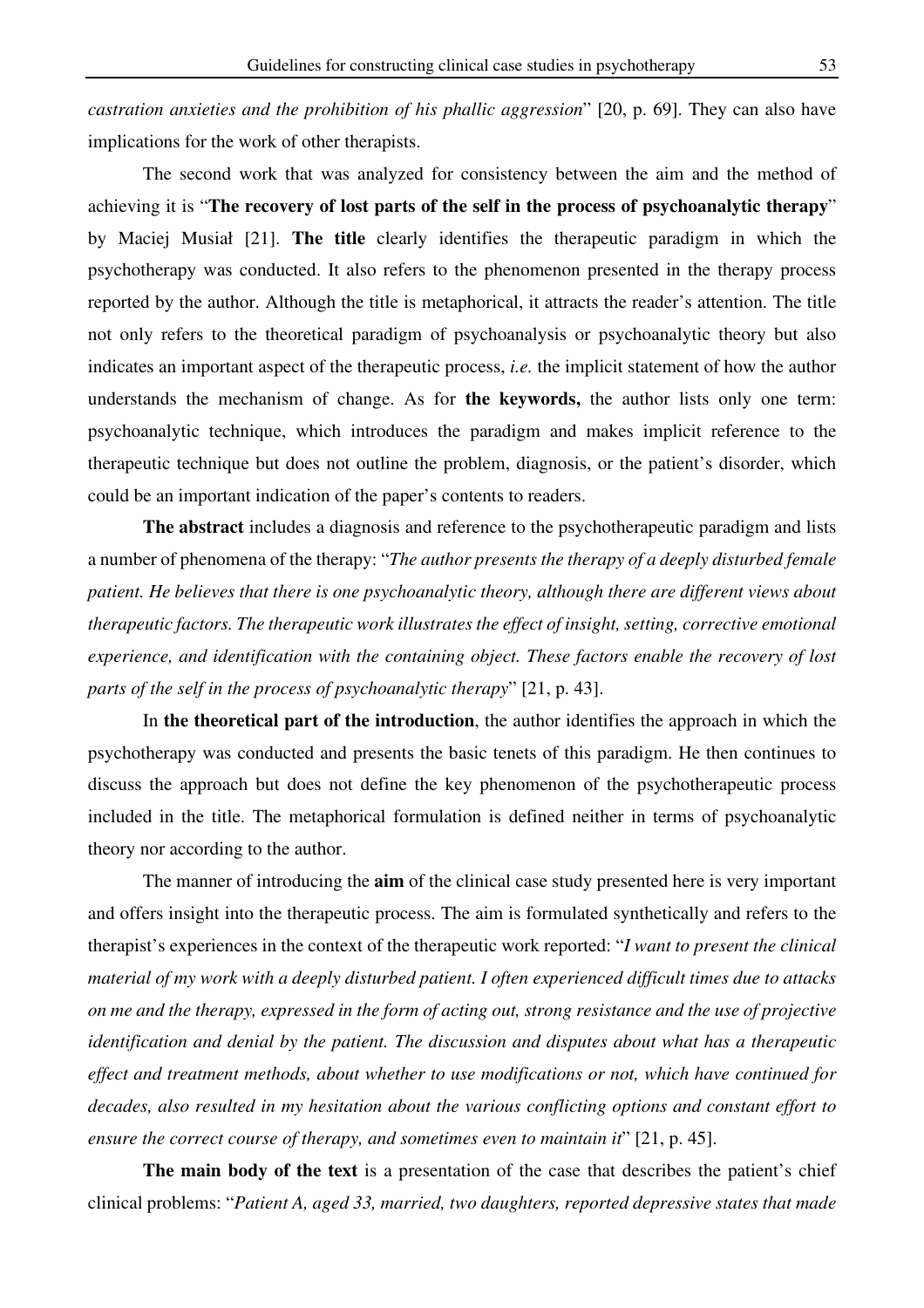*castration anxieties and the prohibition of his phallic aggression*" [20, p. 69]. They can also have implications for the work of other therapists.

The second work that was analyzed for consistency between the aim and the method of achieving it is "**The recovery of lost parts of the self in the process of psychoanalytic therapy**" by Maciej Musiał [21]. **The title** clearly identifies the therapeutic paradigm in which the psychotherapy was conducted. It also refers to the phenomenon presented in the therapy process reported by the author. Although the title is metaphorical, it attracts the reader's attention. The title not only refers to the theoretical paradigm of psychoanalysis or psychoanalytic theory but also indicates an important aspect of the therapeutic process, *i.e.* the implicit statement of how the author understands the mechanism of change. As for **the keywords,** the author lists only one term: psychoanalytic technique, which introduces the paradigm and makes implicit reference to the therapeutic technique but does not outline the problem, diagnosis, or the patient's disorder, which could be an important indication of the paper's contents to readers.

**The abstract** includes a diagnosis and reference to the psychotherapeutic paradigm and lists a number of phenomena of the therapy: "*The author presents the therapy of a deeply disturbed female patient. He believes that there is one psychoanalytic theory, although there are different views about therapeutic factors. The therapeutic work illustrates the effect of insight, setting, corrective emotional experience, and identification with the containing object. These factors enable the recovery of lost parts of the self in the process of psychoanalytic therapy*" [21, p. 43].

In **the theoretical part of the introduction**, the author identifies the approach in which the psychotherapy was conducted and presents the basic tenets of this paradigm. He then continues to discuss the approach but does not define the key phenomenon of the psychotherapeutic process included in the title. The metaphorical formulation is defined neither in terms of psychoanalytic theory nor according to the author.

The manner of introducing the **aim** of the clinical case study presented here is very important and offers insight into the therapeutic process. The aim is formulated synthetically and refers to the therapist's experiences in the context of the therapeutic work reported: "*I want to present the clinical material of my work with a deeply disturbed patient. I often experienced difficult times due to attacks on me and the therapy, expressed in the form of acting out, strong resistance and the use of projective identification and denial by the patient. The discussion and disputes about what has a therapeutic effect and treatment methods, about whether to use modifications or not, which have continued for decades, also resulted in my hesitation about the various conflicting options and constant effort to ensure the correct course of therapy, and sometimes even to maintain it*" [21, p. 45].

**The main body of the text** is a presentation of the case that describes the patient's chief clinical problems: "*Patient A, aged 33, married, two daughters, reported depressive states that made*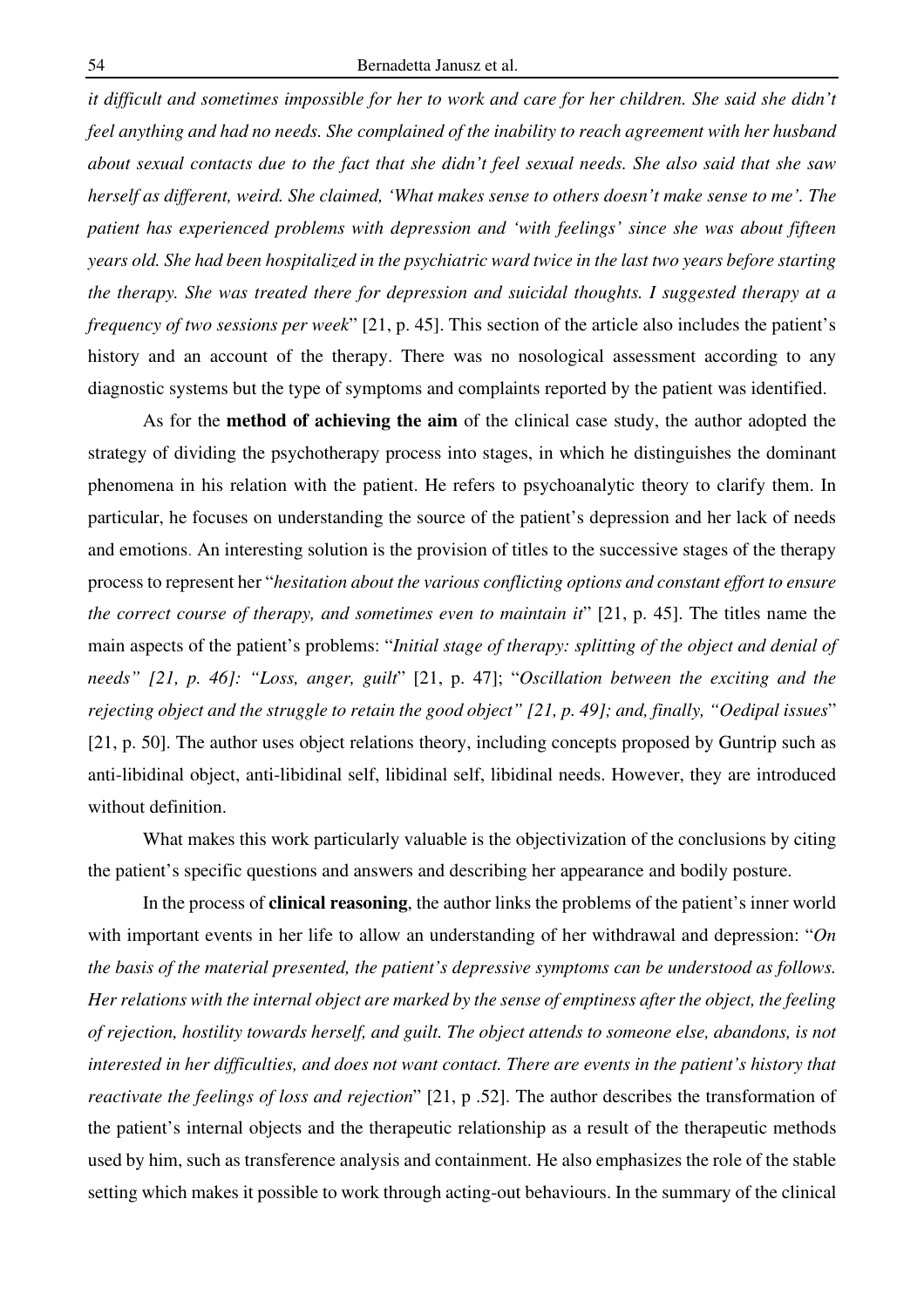*it difficult and sometimes impossible for her to work and care for her children. She said she didn't feel anything and had no needs. She complained of the inability to reach agreement with her husband about sexual contacts due to the fact that she didn't feel sexual needs. She also said that she saw herself as different, weird. She claimed, 'What makes sense to others doesn't make sense to me'. The patient has experienced problems with depression and 'with feelings' since she was about fifteen years old. She had been hospitalized in the psychiatric ward twice in the last two years before starting the therapy. She was treated there for depression and suicidal thoughts. I suggested therapy at a frequency of two sessions per week*" [21, p. 45]. This section of the article also includes the patient's history and an account of the therapy. There was no nosological assessment according to any diagnostic systems but the type of symptoms and complaints reported by the patient was identified.

As for the **method of achieving the aim** of the clinical case study, the author adopted the strategy of dividing the psychotherapy process into stages, in which he distinguishes the dominant phenomena in his relation with the patient. He refers to psychoanalytic theory to clarify them. In particular, he focuses on understanding the source of the patient's depression and her lack of needs and emotions. An interesting solution is the provision of titles to the successive stages of the therapy process to represent her "*hesitation about the various conflicting options and constant effort to ensure the correct course of therapy, and sometimes even to maintain it*" [21, p. 45]. The titles name the main aspects of the patient's problems: "*Initial stage of therapy: splitting of the object and denial of needs" [21, p. 46]: "Loss, anger, guilt*" [21, p. 47]; "*Oscillation between the exciting and the rejecting object and the struggle to retain the good object" [21, p. 49]; and, finally, "Oedipal issues*" [21, p. 50]. The author uses object relations theory, including concepts proposed by Guntrip such as anti-libidinal object, anti-libidinal self, libidinal self, libidinal needs. However, they are introduced without definition.

What makes this work particularly valuable is the objectivization of the conclusions by citing the patient's specific questions and answers and describing her appearance and bodily posture.

In the process of **clinical reasoning**, the author links the problems of the patient's inner world with important events in her life to allow an understanding of her withdrawal and depression: "*On the basis of the material presented, the patient's depressive symptoms can be understood as follows. Her relations with the internal object are marked by the sense of emptiness after the object, the feeling of rejection, hostility towards herself, and guilt. The object attends to someone else, abandons, is not interested in her difficulties, and does not want contact. There are events in the patient's history that reactivate the feelings of loss and rejection*" [21, p .52]. The author describes the transformation of the patient's internal objects and the therapeutic relationship as a result of the therapeutic methods used by him, such as transference analysis and containment. He also emphasizes the role of the stable setting which makes it possible to work through acting-out behaviours. In the summary of the clinical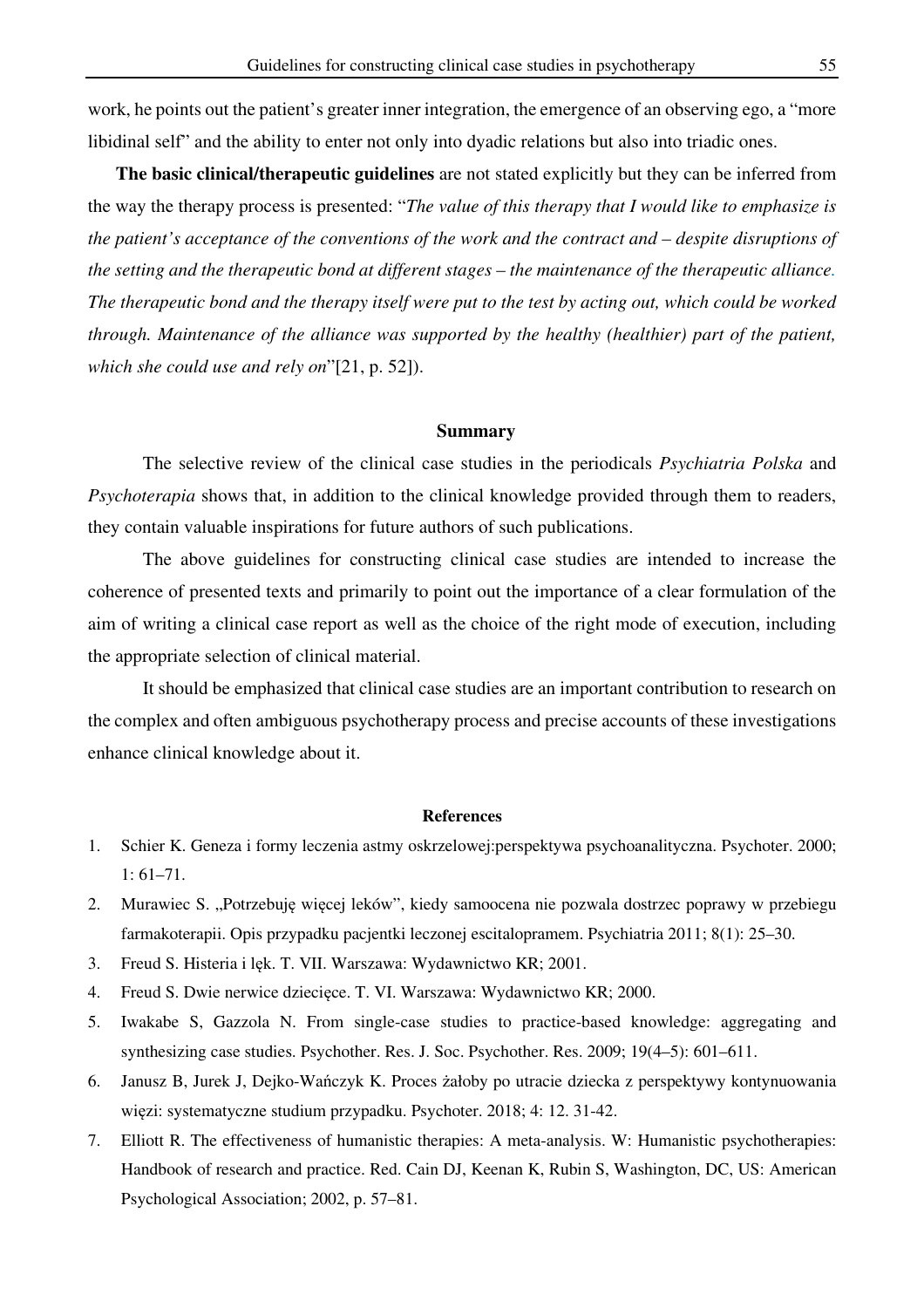work, he points out the patient's greater inner integration, the emergence of an observing ego, a "more libidinal self" and the ability to enter not only into dyadic relations but also into triadic ones.

**The basic clinical/therapeutic guidelines** are not stated explicitly but they can be inferred from the way the therapy process is presented: "*The value of this therapy that I would like to emphasize is the patient's acceptance of the conventions of the work and the contract and – despite disruptions of the setting and the therapeutic bond at different stages – the maintenance of the therapeutic alliance. The therapeutic bond and the therapy itself were put to the test by acting out, which could be worked through. Maintenance of the alliance was supported by the healthy (healthier) part of the patient, which she could use and rely on*"[21, p. 52]).

### **Summary**

The selective review of the clinical case studies in the periodicals *Psychiatria Polska* and *Psychoterapia* shows that, in addition to the clinical knowledge provided through them to readers, they contain valuable inspirations for future authors of such publications.

The above guidelines for constructing clinical case studies are intended to increase the coherence of presented texts and primarily to point out the importance of a clear formulation of the aim of writing a clinical case report as well as the choice of the right mode of execution, including the appropriate selection of clinical material.

It should be emphasized that clinical case studies are an important contribution to research on the complex and often ambiguous psychotherapy process and precise accounts of these investigations enhance clinical knowledge about it.

#### **References**

- 1. Schier K. Geneza i formy leczenia astmy oskrzelowej:perspektywa psychoanalityczna. Psychoter. 2000; 1: 61–71.
- 2. Murawiec S. "Potrzebuję więcej leków", kiedy samoocena nie pozwala dostrzec poprawy w przebiegu farmakoterapii. Opis przypadku pacjentki leczonej escitalopramem. Psychiatria 2011; 8(1): 25–30.
- 3. Freud S. Histeria i lęk. T. VII. Warszawa: Wydawnictwo KR; 2001.
- 4. Freud S. Dwie nerwice dziecięce. T. VI. Warszawa: Wydawnictwo KR; 2000.
- 5. Iwakabe S, Gazzola N. From single-case studies to practice-based knowledge: aggregating and synthesizing case studies. Psychother. Res. J. Soc. Psychother. Res. 2009; 19(4–5): 601–611.
- 6. Janusz B, Jurek J, Dejko-Wańczyk K. Proces żałoby po utracie dziecka z perspektywy kontynuowania więzi: systematyczne studium przypadku. Psychoter. 2018; 4: 12. 31-42.
- 7. Elliott R. The effectiveness of humanistic therapies: A meta-analysis. W: Humanistic psychotherapies: Handbook of research and practice. Red. Cain DJ, Keenan K, Rubin S, Washington, DC, US: American Psychological Association; 2002, p. 57–81.